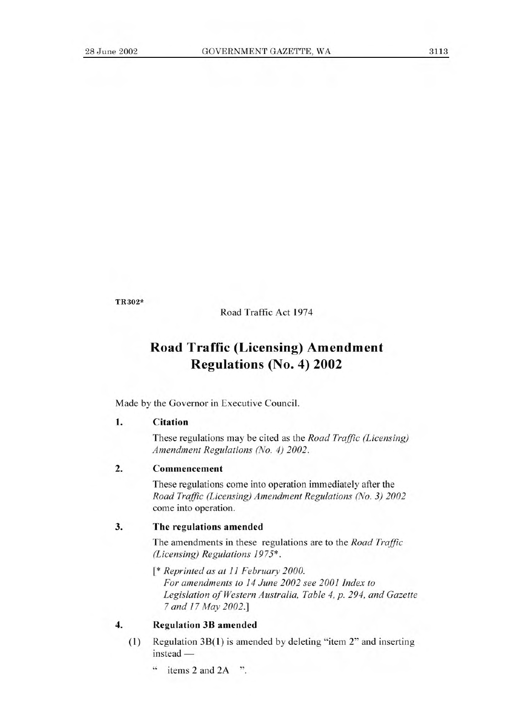TR302\*

Road Traffic Act 1974

# **Road Traffic (Licensing) Amendment Regulations (No. 4) 2002**

Made by the Governor in Executive Council.

### **1. Citation**

These regulations may be cited as the *Road Traffic (Licensing) Amendment Regulations (No. 4) 2002.* 

# **2. Commencement**

These regulations come into operation immediately after the *Road Traffic (Licensing) Amendment Regulations (No. 3) 2002*  come into operation.

### **3. The regulations amended**

The amendments in these regulations are to the *Road Traffic (Licensing) Regulations 1975\*.* 

*[\* Reprinted as at 11 February 2000. For amendments to 14 June 2002 see 2001 Index to Legislation of Western Australia, Table 4, p. 294, and Gazette 7 and 17 May 2002.]* 

# **4. Regulation 3B amended**

- (1) Regulation 3B(1) is amended by deleting "item 2" and inserting instead —
	- " items 2 and 2A ".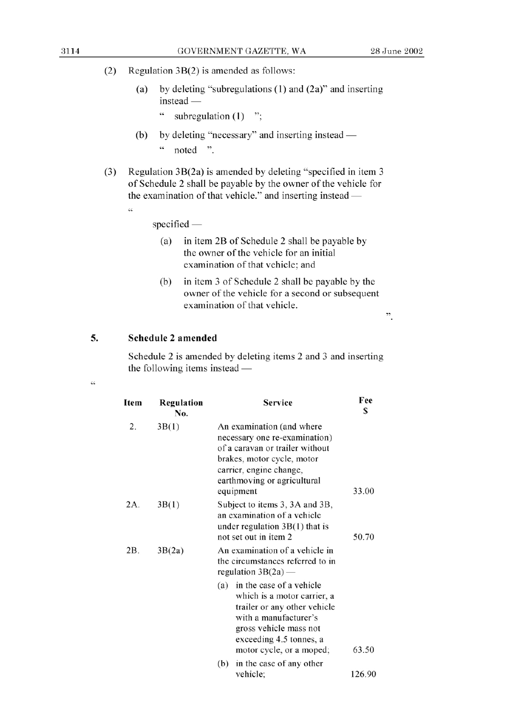- (2) Regulation  $3B(2)$  is amended as follows:
	- (a) by deleting "subregulations (1) and (2a)" and inserting  $instead -$ 
		- $\zeta\,\zeta$ subregulation  $(1)$  ":
	- (b) by deleting "necessary" and inserting instead  $\zeta\,\zeta$ noted ".
- (3) Regulation 3B(2a) is amended by deleting "specified in item 3 of Schedule 2 shall be payable by the owner of the vehicle for the examination of that vehicle." and inserting instead -
	- "

 $specified$ 

- (a) in item 2B of Schedule 2 shall be payable by the owner of the vehicle for an initial examination of that vehicle; and
- (b) in item 3 of Schedule 2 shall be payable by the owner of the vehicle for a second or subsequent examination of that vehicle.

 $\ddot{\cdot}$ 

#### 5. **Schedule** 2 **amended**

Schedule 2 is amended by deleting items 2 and 3 and inserting the following items instead  $-$ 

| $\mathcal{L}$  |  |  |
|----------------|--|--|
| $\mathbb{R}^N$ |  |  |

| Item          | Regulation<br>No. | <b>Service</b>                                                                                                                                                                                           | Fee<br>\$ |
|---------------|-------------------|----------------------------------------------------------------------------------------------------------------------------------------------------------------------------------------------------------|-----------|
| 2.            | 3B(1)             | An examination (and where<br>necessary one re-examination)<br>of a caravan or trailer without<br>brakes, motor cycle, motor<br>carrier, engine change,<br>earthmoving or agricultural<br>equipment       | 33.00     |
| 2A.           | 3B(1)             | Subject to items 3, 3A and 3B,<br>an examination of a vehicle<br>under regulation $3B(1)$ that is<br>not set out in item 2                                                                               | 50.70     |
| 2B.<br>3B(2a) |                   | An examination of a vehicle in<br>the circumstances referred to in<br>regulation $3B(2a)$ —                                                                                                              |           |
|               |                   | in the case of a vehicle<br>(a)<br>which is a motor carrier, a<br>trailer or any other vehicle<br>with a manufacturer's<br>gross vehicle mass not<br>exceeding 4.5 tonnes, a<br>motor cycle, or a moped; | 63.50     |
|               |                   | (b)<br>in the case of any other<br>vehicle;                                                                                                                                                              | 126.90    |